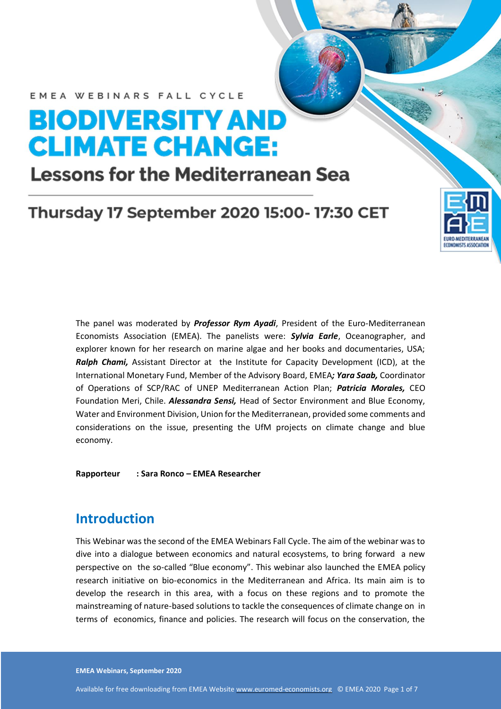# **BIODIVERSITY AND CLIMATE CHANGE:**

# **Lessons for the Mediterranean Sea**

# **Thursday 17 September 2020 15:00-17:30 CET**

The panel was moderated by *Professor Rym Ayadi*, President of the Euro-Mediterranean Economists Association (EMEA). The panelists were: *Sylvia Earle*, Oceanographer, and explorer known for her research on marine algae and her books and documentaries, USA; *Ralph Chami,* Assistant Director at the Institute for Capacity Development (ICD), at the International Monetary Fund, Member of the Advisory Board, EMEA*; Yara Saab,* Coordinator of Operations of SCP/RAC of UNEP Mediterranean Action Plan; *Patricia Morales,* CEO Foundation Meri, Chile. *Alessandra Sensi,* Head of Sector Environment and Blue Economy, Water and Environment Division, Union for the Mediterranean, provided some comments and considerations on the issue, presenting the UfM projects on climate change and blue economy.

**KYC HOMAINA** 

**Rapporteur : Sara Ronco – EMEA Researcher**

#### **Introduction**

This Webinar was the second of the EMEA Webinars Fall Cycle. The aim of the webinar was to dive into a dialogue between economics and natural ecosystems, to bring forward a new perspective on the so-called "Blue economy". This webinar also launched the EMEA policy research initiative on bio-economics in the Mediterranean and Africa. Its main aim is to develop the research in this area, with a focus on these regions and to promote the mainstreaming of nature-based solutions to tackle the consequences of climate change on in terms of economics, finance and policies. The research will focus on the conservation, the

**EMEA Webinars, September 2020**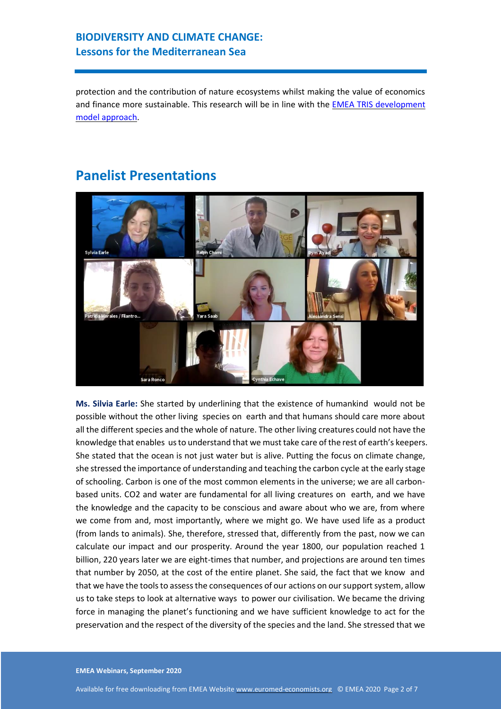#### **BIODIVERSITY AND CLIMATE CHANGE: Lessons for the Mediterranean Sea**

protection and the contribution of nature ecosystems whilst making the value of economics and finance more sustainable. This research will be in line with the [EMEA TRIS development](https://euromed-economists.org/download/blue-transition-policy-roadmap-towards-transparent-responsible-inclusive-and-sustainable-tris-development-in-the-mediterranean/)  [model approach.](https://euromed-economists.org/download/blue-transition-policy-roadmap-towards-transparent-responsible-inclusive-and-sustainable-tris-development-in-the-mediterranean/)



### **Panelist Presentations**

**Ms. Silvia Earle:** She started by underlining that the existence of humankind would not be possible without the other living species on earth and that humans should care more about all the different species and the whole of nature. The other living creatures could not have the knowledge that enables us to understand that we must take care of the rest of earth's keepers. She stated that the ocean is not just water but is alive. Putting the focus on climate change, she stressed the importance of understanding and teaching the carbon cycle at the early stage of schooling. Carbon is one of the most common elements in the universe; we are all carbonbased units. CO2 and water are fundamental for all living creatures on earth, and we have the knowledge and the capacity to be conscious and aware about who we are, from where we come from and, most importantly, where we might go. We have used life as a product (from lands to animals). She, therefore, stressed that, differently from the past, now we can calculate our impact and our prosperity. Around the year 1800, our population reached 1 billion, 220 years later we are eight-times that number, and projections are around ten times that number by 2050, at the cost of the entire planet. She said, the fact that we know and that we have the tools to assess the consequences of our actions on our support system, allow us to take steps to look at alternative ways to power our civilisation. We became the driving force in managing the planet's functioning and we have sufficient knowledge to act for the preservation and the respect of the diversity of the species and the land. She stressed that we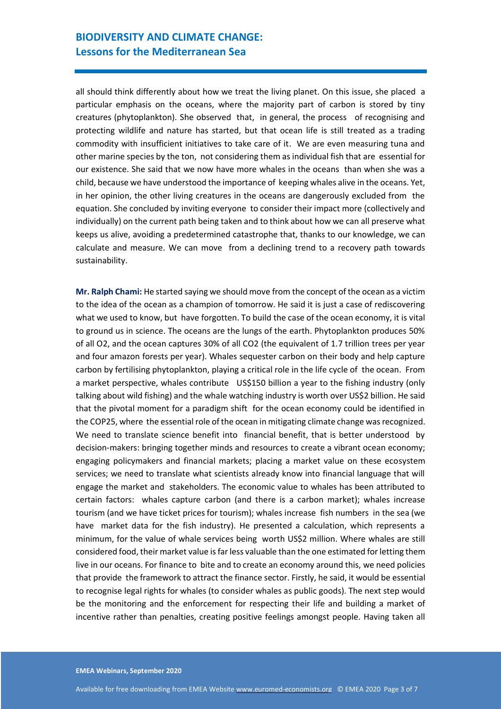all should think differently about how we treat the living planet. On this issue, she placed a particular emphasis on the oceans, where the majority part of carbon is stored by tiny creatures (phytoplankton). She observed that, in general, the process of recognising and protecting wildlife and nature has started, but that ocean life is still treated as a trading commodity with insufficient initiatives to take care of it. We are even measuring tuna and other marine species by the ton, not considering them as individual fish that are essential for our existence. She said that we now have more whales in the oceans than when she was a child, because we have understood the importance of keeping whales alive in the oceans. Yet, in her opinion, the other living creatures in the oceans are dangerously excluded from the equation. She concluded by inviting everyone to consider their impact more (collectively and individually) on the current path being taken and to think about how we can all preserve what keeps us alive, avoiding a predetermined catastrophe that, thanks to our knowledge, we can calculate and measure. We can move from a declining trend to a recovery path towards sustainability.

**Mr. Ralph Chami:** He started saying we should move from the concept of the ocean as a victim to the idea of the ocean as a champion of tomorrow. He said it is just a case of rediscovering what we used to know, but have forgotten. To build the case of the ocean economy, it is vital to ground us in science. The oceans are the lungs of the earth. Phytoplankton produces 50% of all O2, and the ocean captures 30% of all CO2 (the equivalent of 1.7 trillion trees per year and four amazon forests per year). Whales sequester carbon on their body and help capture carbon by fertilising phytoplankton, playing a critical role in the life cycle of the ocean. From a market perspective, whales contribute US\$150 billion a year to the fishing industry (only talking about wild fishing) and the whale watching industry is worth over US\$2 billion. He said that the pivotal moment for a paradigm shift for the ocean economy could be identified in the COP25, where the essential role of the ocean in mitigating climate change was recognized. We need to translate science benefit into financial benefit, that is better understood by decision-makers: bringing together minds and resources to create a vibrant ocean economy; engaging policymakers and financial markets; placing a market value on these ecosystem services; we need to translate what scientists already know into financial language that will engage the market and stakeholders. The economic value to whales has been attributed to certain factors: whales capture carbon (and there is a carbon market); whales increase tourism (and we have ticket prices for tourism); whales increase fish numbers in the sea (we have market data for the fish industry). He presented a calculation, which represents a minimum, for the value of whale services being worth US\$2 million. Where whales are still considered food, their market value is far less valuable than the one estimated for letting them live in our oceans. For finance to bite and to create an economy around this, we need policies that provide the framework to attract the finance sector. Firstly, he said, it would be essential to recognise legal rights for whales (to consider whales as public goods). The next step would be the monitoring and the enforcement for respecting their life and building a market of incentive rather than penalties, creating positive feelings amongst people. Having taken all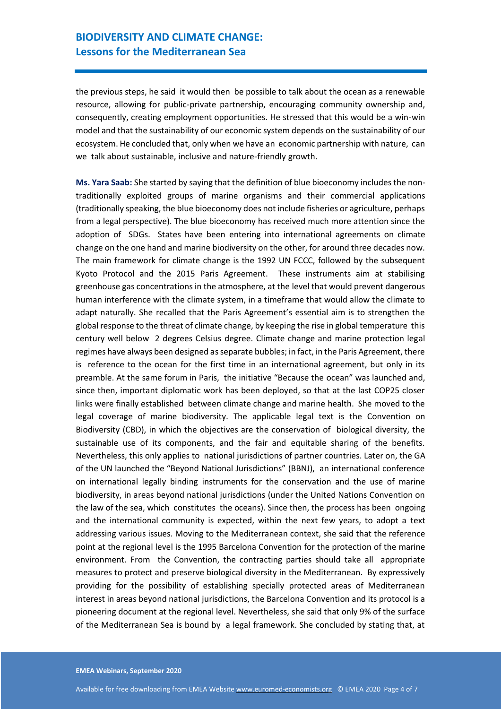#### **BIODIVERSITY AND CLIMATE CHANGE: Lessons for the Mediterranean Sea**

the previous steps, he said it would then be possible to talk about the ocean as a renewable resource, allowing for public-private partnership, encouraging community ownership and, consequently, creating employment opportunities. He stressed that this would be a win-win model and that the sustainability of our economic system depends on the sustainability of our ecosystem. He concluded that, only when we have an economic partnership with nature, can we talk about sustainable, inclusive and nature-friendly growth.

**Ms. Yara Saab:** She started by saying that the definition of blue bioeconomy includes the nontraditionally exploited groups of marine organisms and their commercial applications (traditionally speaking, the blue bioeconomy does not include fisheries or agriculture, perhaps from a legal perspective). The blue bioeconomy has received much more attention since the adoption of SDGs. States have been entering into international agreements on climate change on the one hand and marine biodiversity on the other, for around three decades now. The main framework for climate change is the 1992 UN FCCC, followed by the subsequent Kyoto Protocol and the 2015 Paris Agreement. These instruments aim at stabilising greenhouse gas concentrations in the atmosphere, at the level that would prevent dangerous human interference with the climate system, in a timeframe that would allow the climate to adapt naturally. She recalled that the Paris Agreement's essential aim is to strengthen the global response to the threat of climate change, by keeping the rise in global temperature this century well below 2 degrees Celsius degree. Climate change and marine protection legal regimes have always been designed as separate bubbles; in fact, in the Paris Agreement, there is reference to the ocean for the first time in an international agreement, but only in its preamble. At the same forum in Paris, the initiative "Because the ocean" was launched and, since then, important diplomatic work has been deployed, so that at the last COP25 closer links were finally established between climate change and marine health. She moved to the legal coverage of marine biodiversity. The applicable legal text is the Convention on Biodiversity (CBD), in which the objectives are the conservation of biological diversity, the sustainable use of its components, and the fair and equitable sharing of the benefits. Nevertheless, this only applies to national jurisdictions of partner countries. Later on, the GA of the UN launched the "Beyond National Jurisdictions" (BBNJ), an international conference on international legally binding instruments for the conservation and the use of marine biodiversity, in areas beyond national jurisdictions (under the United Nations Convention on the law of the sea, which constitutes the oceans). Since then, the process has been ongoing and the international community is expected, within the next few years, to adopt a text addressing various issues. Moving to the Mediterranean context, she said that the reference point at the regional level is the 1995 Barcelona Convention for the protection of the marine environment. From the Convention, the contracting parties should take all appropriate measures to protect and preserve biological diversity in the Mediterranean. By expressively providing for the possibility of establishing specially protected areas of Mediterranean interest in areas beyond national jurisdictions, the Barcelona Convention and its protocol is a pioneering document at the regional level. Nevertheless, she said that only 9% of the surface of the Mediterranean Sea is bound by a legal framework. She concluded by stating that, at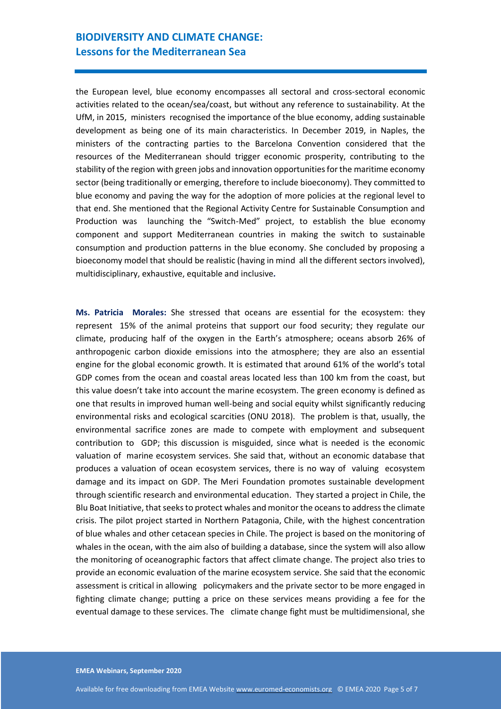#### **BIODIVERSITY AND CLIMATE CHANGE: Lessons for the Mediterranean Sea**

the European level, blue economy encompasses all sectoral and cross-sectoral economic activities related to the ocean/sea/coast, but without any reference to sustainability. At the UfM, in 2015, ministers recognised the importance of the blue economy, adding sustainable development as being one of its main characteristics. In December 2019, in Naples, the ministers of the contracting parties to the Barcelona Convention considered that the resources of the Mediterranean should trigger economic prosperity, contributing to the stability of the region with green jobs and innovation opportunities for the maritime economy sector (being traditionally or emerging, therefore to include bioeconomy). They committed to blue economy and paving the way for the adoption of more policies at the regional level to that end. She mentioned that the Regional Activity Centre for Sustainable Consumption and Production was launching the "Switch-Med" project, to establish the blue economy component and support Mediterranean countries in making the switch to sustainable consumption and production patterns in the blue economy. She concluded by proposing a bioeconomy model that should be realistic (having in mind all the different sectors involved), multidisciplinary, exhaustive, equitable and inclusive*.*

**Ms. Patricia Morales:** She stressed that oceans are essential for the ecosystem: they represent 15% of the animal proteins that support our food security; they regulate our climate, producing half of the oxygen in the Earth's atmosphere; oceans absorb 26% of anthropogenic carbon dioxide emissions into the atmosphere; they are also an essential engine for the global economic growth. It is estimated that around 61% of the world's total GDP comes from the ocean and coastal areas located less than 100 km from the coast, but this value doesn't take into account the marine ecosystem. The green economy is defined as one that results in improved human well-being and social equity whilst significantly reducing environmental risks and ecological scarcities (ONU 2018). The problem is that, usually, the environmental sacrifice zones are made to compete with employment and subsequent contribution to GDP; this discussion is misguided, since what is needed is the economic valuation of marine ecosystem services. She said that, without an economic database that produces a valuation of ocean ecosystem services, there is no way of valuing ecosystem damage and its impact on GDP. The Meri Foundation promotes sustainable development through scientific research and environmental education. They started a project in Chile, the Blu Boat Initiative, that seeks to protect whales and monitor the oceans to address the climate crisis. The pilot project started in Northern Patagonia, Chile, with the highest concentration of blue whales and other cetacean species in Chile. The project is based on the monitoring of whales in the ocean, with the aim also of building a database, since the system will also allow the monitoring of oceanographic factors that affect climate change. The project also tries to provide an economic evaluation of the marine ecosystem service. She said that the economic assessment is critical in allowing policymakers and the private sector to be more engaged in fighting climate change; putting a price on these services means providing a fee for the eventual damage to these services. The climate change fight must be multidimensional, she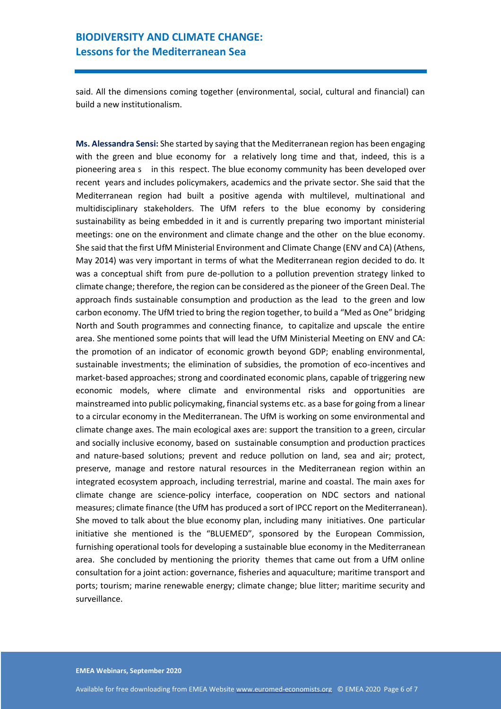said. All the dimensions coming together (environmental, social, cultural and financial) can build a new institutionalism.

**Ms. Alessandra Sensi:** She started by saying that the Mediterranean region has been engaging with the green and blue economy for a relatively long time and that, indeed, this is a pioneering area s in this respect. The blue economy community has been developed over recent years and includes policymakers, academics and the private sector. She said that the Mediterranean region had built a positive agenda with multilevel, multinational and multidisciplinary stakeholders. The UfM refers to the blue economy by considering sustainability as being embedded in it and is currently preparing two important ministerial meetings: one on the environment and climate change and the other on the blue economy. She said that the first UfM Ministerial Environment and Climate Change (ENV and CA) (Athens, May 2014) was very important in terms of what the Mediterranean region decided to do. It was a conceptual shift from pure de-pollution to a pollution prevention strategy linked to climate change; therefore, the region can be considered as the pioneer of the Green Deal. The approach finds sustainable consumption and production as the lead to the green and low carbon economy. The UfM tried to bring the region together, to build a "Med as One" bridging North and South programmes and connecting finance, to capitalize and upscale the entire area. She mentioned some points that will lead the UfM Ministerial Meeting on ENV and CA: the promotion of an indicator of economic growth beyond GDP; enabling environmental, sustainable investments; the elimination of subsidies, the promotion of eco-incentives and market-based approaches; strong and coordinated economic plans, capable of triggering new economic models, where climate and environmental risks and opportunities are mainstreamed into public policymaking, financial systems etc. as a base for going from a linear to a circular economy in the Mediterranean. The UfM is working on some environmental and climate change axes. The main ecological axes are: support the transition to a green, circular and socially inclusive economy, based on sustainable consumption and production practices and nature-based solutions; prevent and reduce pollution on land, sea and air; protect, preserve, manage and restore natural resources in the Mediterranean region within an integrated ecosystem approach, including terrestrial, marine and coastal. The main axes for climate change are science-policy interface, cooperation on NDC sectors and national measures; climate finance (the UfM has produced a sort of IPCC report on the Mediterranean). She moved to talk about the blue economy plan, including many initiatives. One particular initiative she mentioned is the "BLUEMED", sponsored by the European Commission, furnishing operational tools for developing a sustainable blue economy in the Mediterranean area. She concluded by mentioning the priority themes that came out from a UfM online consultation for a joint action: governance, fisheries and aquaculture; maritime transport and ports; tourism; marine renewable energy; climate change; blue litter; maritime security and surveillance.